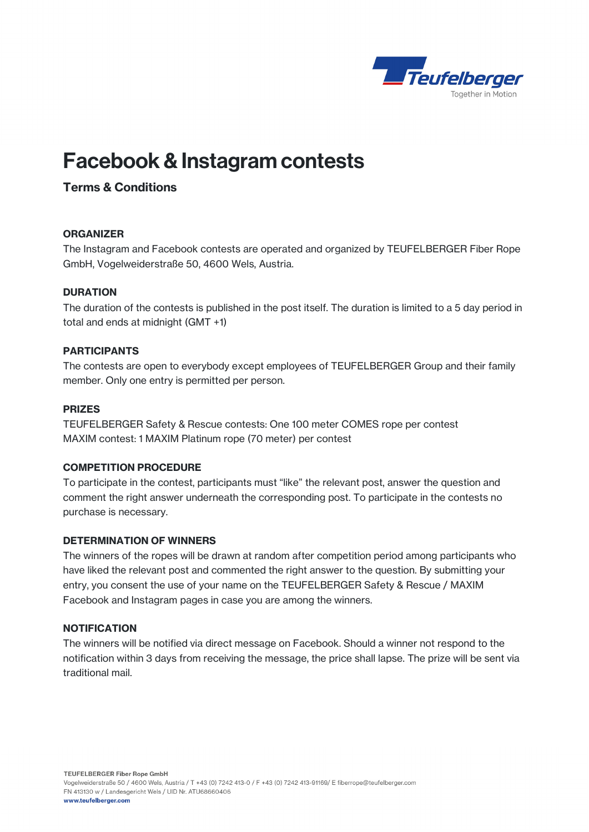

# Facebook & Instagram contests

## Terms & Conditions

#### **ORGANIZER**

The Instagram and Facebook contests are operated and organized by TEUFELBERGER Fiber Rope GmbH, Vogelweiderstraße 50, 4600 Wels, Austria.

#### **DURATION**

The duration of the contests is published in the post itself. The duration is limited to a 5 day period in total and ends at midnight (GMT +1)

#### PARTICIPANTS

The contests are open to everybody except employees of TEUFELBERGER Group and their family member. Only one entry is permitted per person.

#### **PRIZES**

TEUFELBERGER Safety & Rescue contests: One 100 meter COMES rope per contest MAXIM contest: 1 MAXIM Platinum rope (70 meter) per contest

#### COMPETITION PROCEDURE

To participate in the contest, participants must "like" the relevant post, answer the question and comment the right answer underneath the corresponding post. To participate in the contests no purchase is necessary.

#### DETERMINATION OF WINNERS

The winners of the ropes will be drawn at random after competition period among participants who have liked the relevant post and commented the right answer to the question. By submitting your entry, you consent the use of your name on the TEUFELBERGER Safety & Rescue / MAXIM Facebook and Instagram pages in case you are among the winners.

#### **NOTIFICATION**

The winners will be notified via direct message on Facebook. Should a winner not respond to the notification within 3 days from receiving the message, the price shall lapse. The prize will be sent via traditional mail.